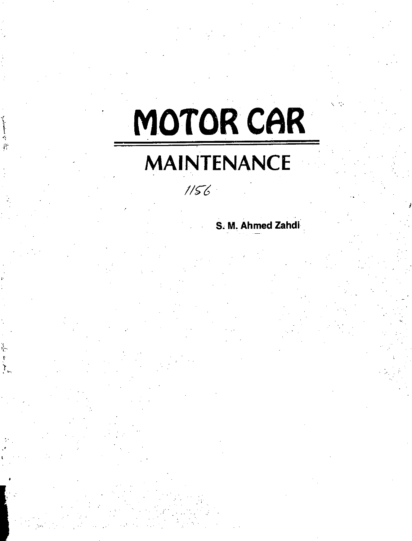# **MOTOR CAR**

# **MAINTENANCE**

# $1156$

# **S. M. Ahmed Zahdi**

٦.<br>ا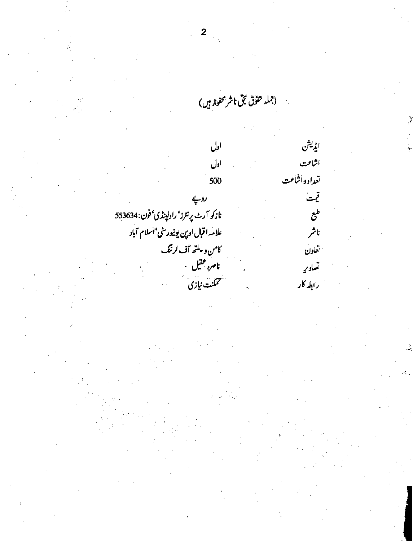$\mathbf{2}$ (جمله حقوق مجق ناشر محفوظ<sup>م</sup>یں) **CP.4<sup>1</sup> اول** اشاعت اول تعداد واشاعت **500 4rid** *h:•`1 . : 1* نازكو آرٹ پرنٹرز' راولپنڈى' فون: 553634 طبع علامه **اقبا**ل اوپن يونيور<sub>ىتى</sub> 'اسلام <sup>7</sup>باد ناشر تعاون<br>تعاون<br>تصادی<sub>ه</sub> مستق<del>ل اسرو عقیل مستقل است</del> تصاورٍ شممنت نیازی س رابط**ہ کار**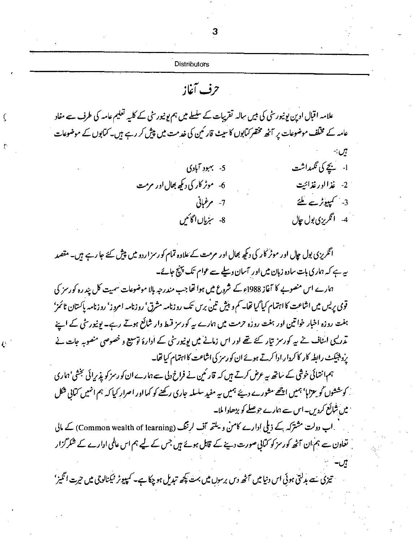|                                                                                                                                     | <b>Distributors</b> |                                                                                         |
|-------------------------------------------------------------------------------------------------------------------------------------|---------------------|-----------------------------------------------------------------------------------------|
|                                                                                                                                     | حرف آغاز            |                                                                                         |
| علامہ اقبال اوپن یونیورٹی کی ہیں سالہ تقریبات کے سلسلے میں ہم یونیورٹی کے کلیہ تعلیم عامہ کی طرف سے مفاد                            |                     |                                                                                         |
| عامہ کے مخلف موضوعات پر آٹھ مختصر <i>کت</i> ابوں کا سیٹ قار <sub>ک</sub> مین کی خدمت میں پی <i>ش کر د</i> ہے ہیں۔ کتابوں کے موضوعات |                     |                                                                                         |
|                                                                                                                                     |                     | نال:                                                                                    |
|                                                                                                                                     | 5- بهبود آبادی      | ا- يچے کی <i>نگهد</i> اشت                                                               |
| 6- موٹر کار کی دیکھ بھال اور مرمت                                                                                                   |                     | ُ 2- غذااورغذائيت                                                                       |
|                                                                                                                                     | 7- مرغبانی          | 3- کمپیوٹرے ملئے                                                                        |
|                                                                                                                                     | 8- سنرياں اڳائيں    | 4- انگرېزي بول چال                                                                      |
| انگریزی بول جال اور موٹر کار کی دیکھ بھال اور مرمت کے علاوہ تمام کو رسزاردو میں پیش کئے جا رہے ہیں۔ مقصد                            |                     |                                                                                         |
|                                                                                                                                     |                     | <i>یہ ہے کہ</i> ہماری بات سادہ زبان میں اور <sup>م</sup> سان وسلے سے عوام تک پہنچ جائے۔ |
| ہارے اس منصوبے کا آغاز 1988ء کے شروع میں ہوا تھا جب مندرجہ ہالا موضوعات سمیت کل پند رہ کورسز کی                                     |                     |                                                                                         |
| قوی پریس میں اشاعت کا اہتمام کیا گیا تھا۔ کم و پیش تین برس تک روزنامہ مشرق' روزنامہ امروز' روزنامہ پاکستان ٹائمز'                   |                     |                                                                                         |
| ہفت روزہ اخبار خواتین اور ہفت روزہ حرمت میں ہارے سے کورسز قسط وار شائع ہوتے رہے۔ یونیورسی کے اپنے                                   |                     |                                                                                         |
| تدرلیک اسٹاف نے یہ کورمز تیار کئے تھے اور اس زمانے میں یونیورٹی کے ادارۂ توسیع و خصوصی منصوبہ جات نے                                |                     |                                                                                         |
|                                                                                                                                     |                     | پروپٹیکٹ رابطہ کار کا کردار ادا کرتے ہوئے ان کو رسز کی اشاعت کا اہتمام کیا تھا۔         |
| ہم انتیائی خوشی کے ساتھ ہیے عرض کرتے ہیں کہ قار ٹمین نے فراخ دلی سے ہمارے ان کو رسز کو پذیرائی تجشی' ہماری                          |                     |                                                                                         |
| گر مششوں کو یعزاہا بھیں اچھے مشورے دیئے ہمیں یہ مفید سلسلہ جاری رکھنے کو کہا اور اصرار کیا کہ ہم انہیں کمانی شکل                    |                     |                                                                                         |
|                                                                                                                                     |                     | میں شائع کردیں۔ اس سے ہارے جوصلے کو بڑھاوا ملا۔                                         |
| اب دولت مشترکہ کے ذیلی اِدارے کامن و یلتھ آف لرننگ (Common wealth of learning) کے مالی (                                            |                     |                                                                                         |
| ں تعاون سے ہم ان آٹھ کورمز کو کتابی صورت دینے کے قابل ہوئے ہیں جس کے لیے ہم اس عالمی ادارے کے شکر گزار                              |                     |                                                                                         |
|                                                                                                                                     |                     |                                                                                         |
| تیزی سے بدلتی ہوئی اس دنیا میں آٹھ دس برسوں میں بہت پچھ تبدیل ہو چکا ہے۔ کمپیوٹر نیکنالوجی میں حیرت انگیز'                          |                     |                                                                                         |
|                                                                                                                                     |                     |                                                                                         |

 $\boldsymbol{\zeta}$ 

 $\bar{U}$ 

 $\overline{\overline{C}}$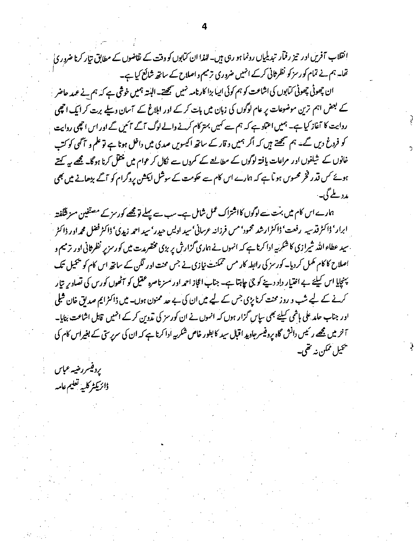انقلاب آفریں اور تیز رفآر تبدیلیاں رونما ہو رہی ہیں۔اندا ان کمابوں کو وقت کے نقاضوں کے مطابق تیار کرنا ضروری<br>تھا۔ ہم نے تمام *کور سز کو* نظر ثانی کرکے ا<sup>نہ</sup>یں ضروری ترمیم و اصلاح کے ساتھ شائع کیا ہے۔

ان چھوٹی چھوٹی *کت*ابوں کی اشاعت کو ہم کوئی ایپا بڑا کارنامہ نہیں سمجھتے۔ البنتہ ہمیں خوشی ہے کہ ہم نے عمد حاضر کے بعض اہم ترین موضوعات پر عام لوگوں کی زبان میں بات کرکے اور ابلاغ کے آسان دیلے برت کر ایک احیمی روایت کا آغاز کیا ہے۔ ہمیں اعت<sub>اد ہ</sub>ے کہ ہم سے کہیں بہتر کام کرنے والے لوگ آگے آئیں گے اور اس احچی روایت کو فروغ دیں گے۔ ہم سمجھتے ہیں کہ اگر ہمیں و قار کے ساتھ اکیسویں صدی میں داخل ہونا ہے تو علم و <sup>ہم</sup> گھی کو کتب خانوں کے شیلفوں اور مراعات یافتہ لوگوں کے مطالعے کے کمروں سے نکال کر عوام میں منتقل کرنا ہوگا۔ <u>مجھے</u> ہہ کہتے ہوئے <sub>ک</sub>س قدر فخر محسوس ہو <sup>آ</sup> ہے کہ ہمارے اس کام سے حکومت کے سوشل ایکشن پروگرام کو آگے بڑھانے میں بھی مدد ملے گی۔

*:457 L 7 4•C' 6rs' LfriffrA b Oh - 4.• (.1.7•K i 'la*  ابرار' ڈاکٹر قدیبہ رفعت' ڈاکٹرارشد محمود' مس فرزانہ عرسانی' سید ا<sub>د</sub>لیں حیدر' سید احمہ زیدی' ڈاکٹر فضل محم**راد ر ڈاکٹر** جید عطاء اللہ شیرازی کا شکرنیہ ادا کرنا ہے کہ انہوں نے ہماری گزارش پر بڑی مختصرمت میں کورسزپر نظرثانی اور ترمیم و اصلاح کا کام مکمل کردیا۔ کورسز کی رابطہ کار مس تممکنت نیازی نے جس محنت اور لگن کے ساتھ اس کام کو پیمیل تک پینچایا اس کیلئے بے اختیار داد دینے کو <sup>3</sup>ن **چاہتا ہے۔ جناب اعجاز احم**ر اور مسز ناصرہ عقیل کو <sup>م</sup>ٹھوں کورس کی تصادیر بتار کرنے کے لیے شب و روز محنت کرنا پڑی جس کے لیے میں ان کی بے حد ممنون ہوں۔ میں ڈاکٹرایم صدیق خان شبلی اور جناب حامد علی ہاشمی کیلئے بھی سپاس گزار ہوں کہ انہوں نے ان کورسز کی ت**د**وین کرکے انہیں قابل اشاعت بنایا۔ *dr! Cji 60\_40)An 'Ai fic-• 4A7)-9:i4\$e (Y. c/i ALt.]* I هيميل ممکن نه **تقي**-

يرد فيسررضيه عباس وارتينر كلبه تعليم عامه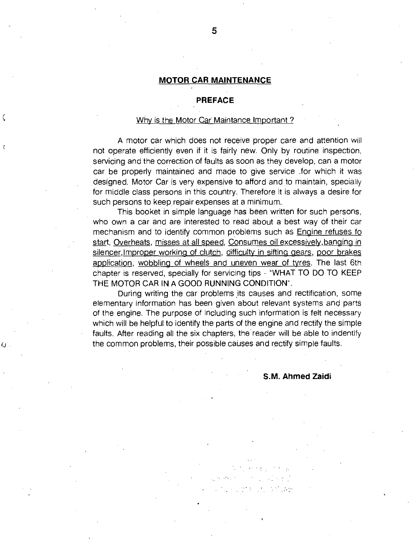#### **MOTOR CAR MAINTENANCE**

#### **PREFACE**

#### Why is the Motor Car Maintance Important?

C

A motor car which does not receive proper care and attention will not operate efficiently even if it is fairly new. Only by routine inspection, servicing and the correction of faults as soon as they develop, can a motor car be properly maintained and made to give service .for which it was designed. Motor Car is very expensive to afford and to maintain, specially for middle class persons in this country. Therefore it is always a desire for such persons to keep repair expenses at a minimum.

This booket in simple language has been written for such persons, who own a car and are interested to read about a best way of their car mechanism and to identify common problems such as Engine refuses fo start, Overheats, misses at all speed, Consumes oil excessively, banging in silencer, Improper working of clutch, difficulty in sifting gears, poor brakes application, wobbling of wheels and uneven wear of tyres. The last 6th chapter is reserved, specially for servicing tips - "WHAT TO DO TO KEEP THE MOTOR CAR IN A GOOD RUNNING CONDITION".

During writing the car problems its causes and rectification, some elementary information has been given about relevant systems and parts of the engine. The purpose of including such information is felt necessary which will be helpful to identify the parts of the engine and rectify the simple faults. After reading all the six chapters, the reader will be able to indentify the common problems, their possible causes and rectify simple faults.

#### **S.M. Ahmed Zaidi**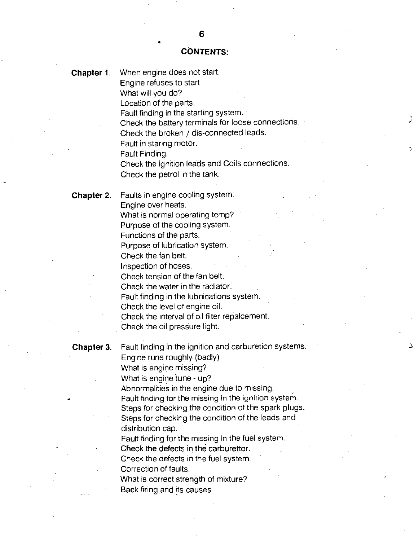# **CONTENTS:**

 $\cdot$ )

 $\Delta$ 

 $\overline{\mathbf{C}}$ 

| Chapter 1. | When engine does not start.<br>Engine refuses to start<br>What will you do?<br>Location of the parts.<br>Fault finding in the starting system.<br>Check the battery terminals for loose connections.<br>Check the broken / dis-connected leads.<br>Fault in staring motor.<br>Fault Finding.<br>Check the ignition leads and Coils connections.<br>Check the petrol in the tank.                                                                                                                                                                                                                                              |
|------------|-------------------------------------------------------------------------------------------------------------------------------------------------------------------------------------------------------------------------------------------------------------------------------------------------------------------------------------------------------------------------------------------------------------------------------------------------------------------------------------------------------------------------------------------------------------------------------------------------------------------------------|
| Chapter 2. | Faults in engine cooling system.<br>Engine over heats.<br>What is normal operating temp?<br>Purpose of the cooling system.<br>Functions of the parts.<br>Purpose of lubrication system.<br>Check the fan belt.<br>Inspection of hoses.<br>Check tension of the fan belt.<br>Check the water in the radiator.<br>Fault finding in the lubnications system.<br>Check the level of engine oil.<br>Check the interval of oil filter repalcement.<br>Check the oil pressure light.                                                                                                                                                 |
| Chapter 3. | Fault finding in the ignition and carburetion systems.<br>Engine runs roughly (badly)<br>What is engine missing?<br>What is engine tune - up?<br>Abnormalities in the engine due to missing.<br>Fault finding for the missing in the ignition system.<br>Steps for checking the condition of the spark plugs.<br>Steps for checking the condition of the leads and<br>distribution cap.<br>Fault finding for the missing in the fuel system.<br>Check the defects in the carburettor.<br>Check the defects in the fuel system.<br>Correction of faults.<br>What is correct strength of mixture?<br>Back firing and its causes |
|            |                                                                                                                                                                                                                                                                                                                                                                                                                                                                                                                                                                                                                               |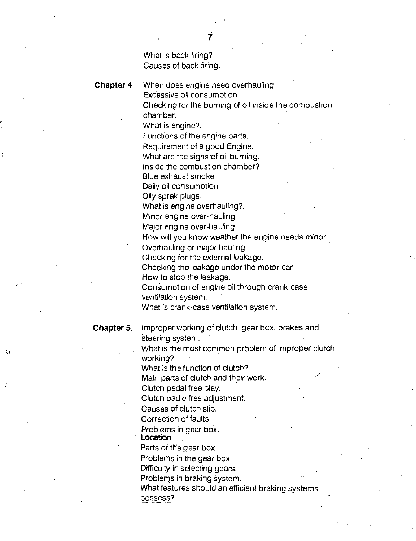What is back firing? Causes of back firing.

Chapter 4. When does engine need overhauling. Excessive oil consumption.

> Checking for the burning of oil inside the combustion chamber.

What is engine?.

Functions of the engine parts.

Requirement of a good Engine.

What are the signs of oil burning.

Inside the combustion chamber?

Blue exhaust smoke

Daily oil consumption

Oily sprak plugs.

What is engine overhauling?.

Minor engine over-hauling.

Major engine over-hauling.

How will you know weather the engine needs minor

Overhauling or major hauling.

Checking for the external leakage.

Checking the leakage under the motor car.

Flow to stop the leakage.

Consumption of engine oil through crank case ventilation system.

What is crank-case ventilation system.

∢

**Chapter 5.** Improper working of clutch, gear box, brakes and 'steering system.

> What is the most common problem of improper clutch working?

What is the function of clutch?

Main parts of clutch and their work.

Clutch pedal free play.

Clutch padle free adjustment.

Causes of clutch slip.

Correction of faults.

Problems in gear box.

**Location** 

Parts of the gear box.

Problems in the gear box.

Difficulty in selecting gears.

Problems in braking system.

What features should an efficient braking systems

\_possess?.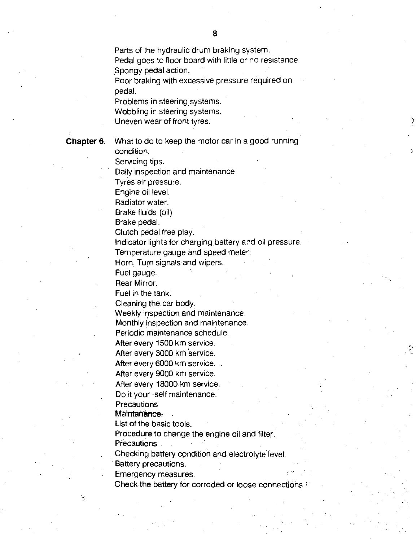Parts of the hydraulic drum braking system. Pedal goes to floor board with little or no resistance.

Spongy pedal action. Poor braking with excessive pressure required on

pedal.

Problems in steering systems.

Wobbling in steering systems.

Uneven wear of front tyres.

Chapter 6. What to do to keep the motor car in a good running condition.

Servicing tips.

Daily inspection and maintenance

Tyres air pressure.

Engine oil level.

Radiator water.

Brake fluids (oil)

Brake pedal.

Clutch pedal free play.

Indicator lights for charging battery and oil pressure. Temperature gauge and speed meter:

Horn, Turn signals-and wipers:

Fuel gauge.

Rear Mirror.

Fuel in the tank.

Cleaning the car body:

Weekly inspection and maintenance.

Monthly inspection and maintenance.

Periodic maintenance schedule.

After every 1500 km service.

After every 3000 km Service.

After every 6000 km service.

After every 9000 km service.

After every 18000 km service.

Do it your -self maintenance.

**Precautions** 

Maintariance: ...

List of the basic tools.

Procedure to change the engine oil and filter.

**Precautions** 

Checking battery condition and electrolyte level.

Battery precautions.

Emergency measures.

Check the battery for corroded or loose Connections\_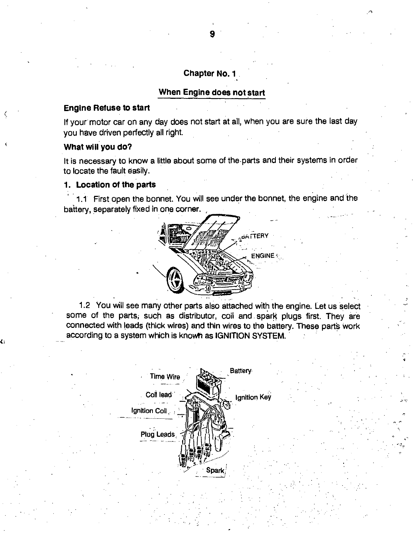# **Chapter No. 1**

# **When Engine does not start**

# **Engine Refuse to start**

If your motor car on any day does not start at all, when you are sure the last day you have driven perfectly all right.

# **What will you do?**

Ii

It is necessary to know a little about some of the parts and their systems in order to locate the fault easily.

# **1. Location of the parts**

1.1 First open the bonnet. You will see under the bonnet, the engine and the battery, separately fixed in one corner.



1.2 You will see many other parts also attached with the engine. Let us select some of the parts, such as distributor, coil and spark plugs first. They are connected with leads (thick wires) and thin wires to the battery. These parts work according to a system which is known as IGNITION SYSTEM.

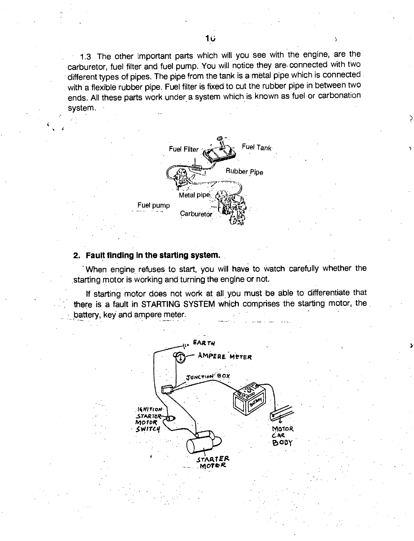1.3 The other important parts which will you see with the engine, are the carburetor, fuel filter and fuel pump. You will notice they are, connected with two different types of pipes. The pipe from the tank is a metal pipe which is connected with a flexible rubber pipe. Fuel filter is fixed to cut the rubber pipe in between two ends. All these parts work under a system which is known as fuel or carbonation system.



# **2. Fault finding in the starting system.**

When engine refuses to start, you will have to watch carefully whether the starting motor is working and turning the engine or not.

If starting motor does not work at all you must be able to differentiate that there is a fault in STARTING SYSTEM which comprises the starting motor, the battery, key and ampere meter.

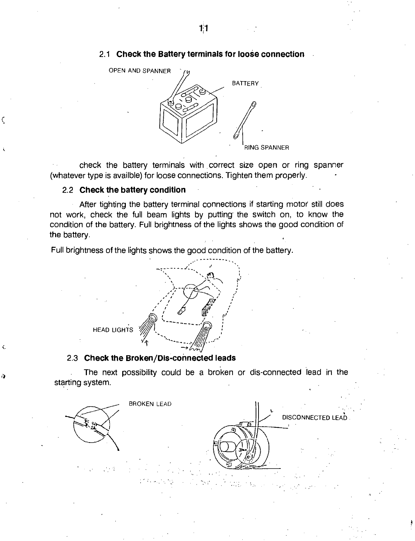# 2.1 **Check the Battery terminals for loose connection**



• check the battery terminals with correct size open or ring spanner (whatever type is availble) for loose connections. Tighten them properly.

# 2.2 **Check the battery condition**

After tighting the battery terminal connections if starting motor still does not work, check the full beam lights by putting the switch on, to know the condition of the battery. Full brightness of the lights shows the good condition of the battery.

Full brightness of the lights shows the good condition of the battery.



# 2.3 **Check the Broken/Dis-connected leads**

 $\left($ 

The next possibility could be a broken or dis-connected lead in the starting system.

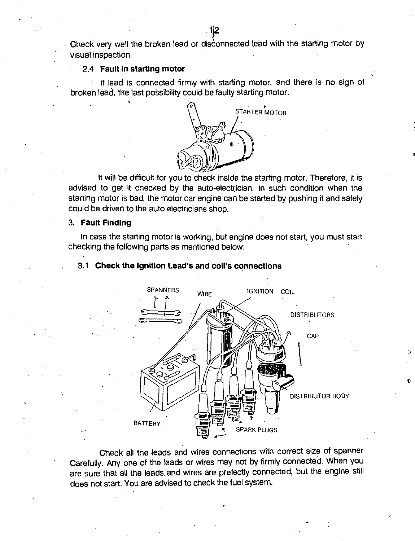Check very well the broken lead or disconnected lead with the starting motor by visual inspection.

#### 2.4 **Fault in starting motor**

If lead is connected firmly with starting motor, and there is no sign of broken lead, the last possibility could be faulty starting motor.



It will be difficult for you to check inside the starting motor. Therefore, it is advised to get it checked by the auto-electrician. In such condition when the starting motor is bad, the motor car engine can be started by pushing it and safely could be driven to the auto electricians shop.

# 3. **Fault Finding**

In case the starting motor is working, but engine does not start, you must start checking the following parts as mentioned below:



# 3.1 **Check the Ignition Lead's and coil's connections**

Check all the leads and wires connections with correct size of spanner Carefully. Any one of the leads or wires may not by firmly connected. When you are sure that all the leads and wires are prefectly connected, but the engine still does not start. You are advised to check the fuel system.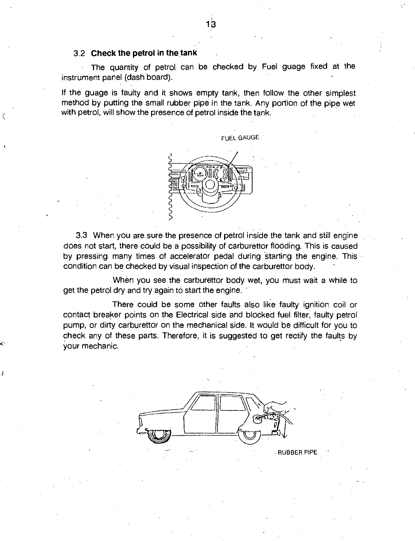# 3.2 **Check the petrol in the tank**

The quantity of petrol can be checked by Fuel guage fixed at the instrument panel (dash board).

If the guage is faulty and it shows empty tank, then follow the other simplest method by putting the small rubber pipe in the tank. Any portion of the pipe wet with petrol, will show the presence of petrol inside the tank.



3.3 When you are sure the presence of petrol inside the tank and still engine does not start, there could be a possibility of carburettor flooding. This is caused by pressing many times of accelerator pedal during starting the engine. This condition can be checked by visual inspection of the carburettor body.

When you see the carburettor body wet, you must wait a while to get the petrol dry and try again to start the engine.

There could be some other faults also like faulty ignition coil or contact breaker points on the Electrical side and blocked fuel filter, faulty petrol pump, or dirty carburettor on the mechanical side. It would be difficult for you to check any of these parts. Therefore, it is suggested to get rectify the faults by your mechanic.



**RUBBER PIPE**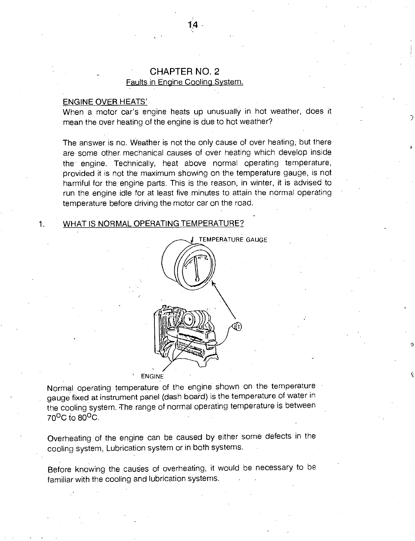# • CHAPTER NO. 2

# Faults in Engine Cooling System.

#### ENGINE OVER HEATS'

When a motor car's engine heats up unusually in hot weather, does it mean the over heating of the engine is due to hot weather?

The answer is no. Weather is not the only cause of over heating; but there are some other mechanical causes of over heating which develop inside the engine. Technically, heat above normal operating temperature, provided it is not the maximum showing on the temperature gauge, is not harmful for the engine parts. This is the reason, in winter, it is advised to run the engine idle for at least five minutes to attain the normal operating temperature before driving the motor car on the road.

#### 1. WHAT IS NORMAL OPERATING TEMPERATURE?



0

r.

#### **ENGINE**

Normal operating temperature of the engine shown on the temperature gauge fixed at instrument panel (dash board) is the temperature of water in the cooling system. The range of normal operating temperature is between 70°C to 80°C.

Overheating of the engine can be caused by either some defects in the cooling system, Lubrication system or in both systems.

Before knowing the causes of overheating, it would be necessary to be familiar with the cooling and lubrication systems.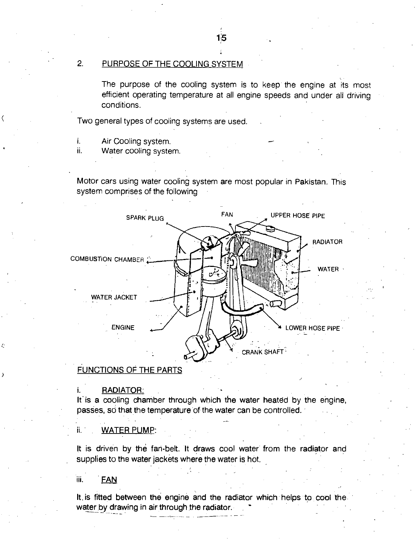# 2. PURPOSE OF THE COOLING SYSTEM

The purpose of the cooling system is to keep the engine at its most efficient operating temperature at all engine speeds and under all driving conditions.

Two general types of cooling systems are used.

- i. Air Cooling system.
- ii. Water cooling system.

Motor cars using water cooling system are most popular in Pakistan. This system comprises of the following



# FUNCTIONS OF THE PARTS

#### RADIATOR:

It is a cooling chamber through which the water heated by the engine, passes, so that the temperature of the water can be controlled.

#### ii. WATER PUMP:

It is driven by the fan-belt. It draws cool water from the radiator and supplies to the water jackets where the water is hot.

#### iii. FAN

It, is fitted between the engine and the radiator which helps to cool the water by drawing in air through the radiator.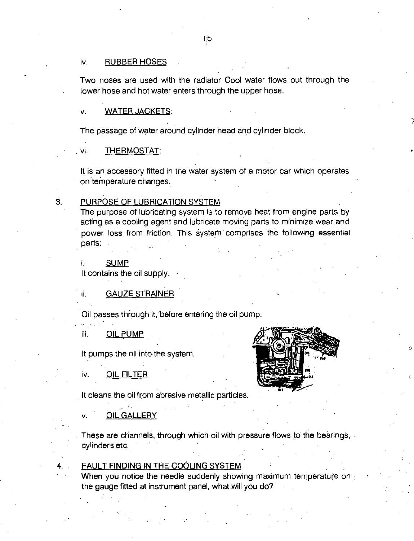#### iv. RUBBER HOSES

Two hoses are used with the radiator Cool water flows out through the lower hose and hot water enters through the upper hose.

# v. WATER JACKETS:

The passage of water around cylinder head and cylinder block.

#### vi. THERMOSTAT:

It is an accessory fitted in the water system of a motor car which operates on temperature changes.

#### 3. PURPOSE OF LUBRICATION SYSTEM

The purpose of lubricating system is to remove heat from engine parts by acting as a cooling agent and lubricate moving parts to minimize wear and power loss from friction. This System comprises the following essential parts:

#### i. SUMP

It contains the oil supply:

#### ii. GAUZE STRAINER

Oil passes through it, before entering the oil pump.

iii. QIL PUMP

It pumps the oil into the system.

#### iv. OIL FILTER

It cleans the oil from abrasive metallic particles.

#### v. OIL GALLERY

These are channels, through which oil with pressure flows to the bearings, cylinders etc.

#### 4. FAULT FINDING IN THE COOLING SYSTEM

When you notice the needle suddenly showing maximum temperature on. the gauge fitted at instrument panel, what will you do?

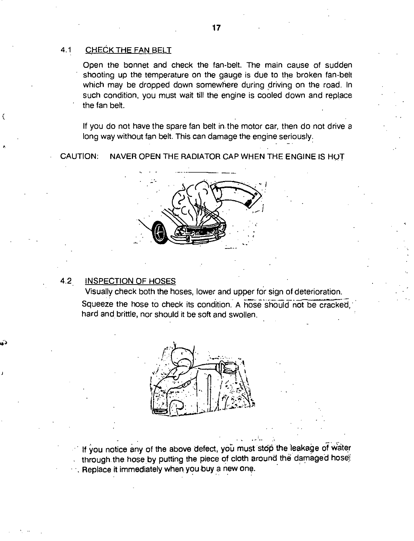# 4.1 CHECK THE FAN BELT

Open the bonnet and check the fan-belt. The main cause of sudden shooting up the temperature on the gauge is due to the broken fan-belt which may be dropped down somewhere during driving on the road. In such condition, you must wait till the engine is cooled down and replace the fan belt.

If you do not have the spare fan belt in the motor car, then do not drive a long way without fan belt. This can damage the engine seriously:

CAUTION: NAVER OPEN THE RADIATOR CAP WHEN THE ENGINE IS HOT



# 4.2 INSPECTION OF HOSES

 $\bullet$ 

(

Visually check both the hoses, lower and upper for sign of deterioration. Squeeze the hose to check its condition. A hose should not be cracked, hard and brittle, nor should it be soft and swollen.

,



If you notice any of the above defect, you must stop the leakage of water through the hose by putting the piece of cloth around the damaged hose! ••. Replace it immediately when you buy a new one.

-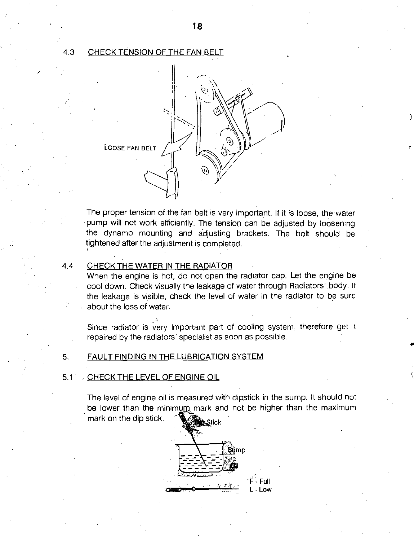#### 4.3 CHECK TENSION OF THE FAN BELT



The proper tension of the fan belt is very important. If it is loose, the water • pump will not Work efficiently. The tension can be adjusted by loosening the dynamo mounting and adjusting brackets. The bolt should be tightened after the adjustment is completed.

# 4.4 CHECK THE WATER IN THE RADIATOR

When the engine is hot, do not open the radiator cap. Let the engine be cool down. Check visually the leakage of water through Radiators' .body. If the leakage is visible, check the level of water in the radiator to be sure about the loss of water.

Since radiator is very important part of cooling system, therefore get it repaired by the radiators' specialist as soon as possible.

# 5. FAULT FINDING IN THE LUBRICATION SYSTEM

# $5.1<sup>2</sup>$ . CHECK THE LEVEL OF ENGINE OIL

be lower than the minimum mark and not be higher than the maximum mark on the dip stick. The level of engine oil is measured with dipstick in the sump. It should not

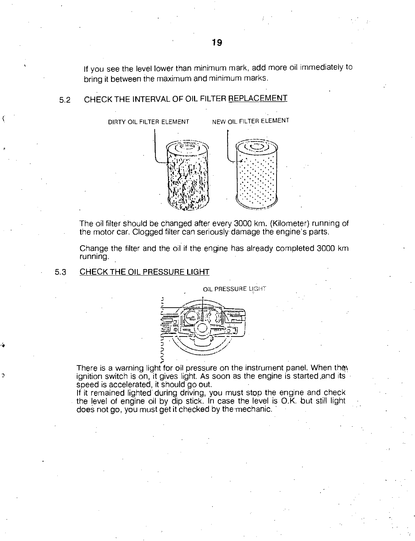If you see the level lower than minimum mark, add more oil immediately to bring it between the maximum and minimum marks.

# 5.2 CHECK THE INTERVAL OF OIL FILTER REPLACEMENT

DIRTY OIL FILTER ELEMENT NEW OIL FILTER ELEMENT



The oil filter should be changed after every 3000 km. (Kilometer) running of the motor car. Clogged filter can seriously- damage the engine's parts.

Change the filter and the oil if the engine has already completed 3000 km running.

#### 5.3 CHECK THE OIL PRESSURE LIGHT



There is a warning light for oil pressure on the instrument panel. When they ignition switch is on, it gives light. As soon as the engine is started and its speed is accelerated, it should go out.

If it remained lighted during driving, you must stop the engine and check the level of engine oil by dip stick. In case the level is O.K. but still light does not go, you must get it checked by the mechanic.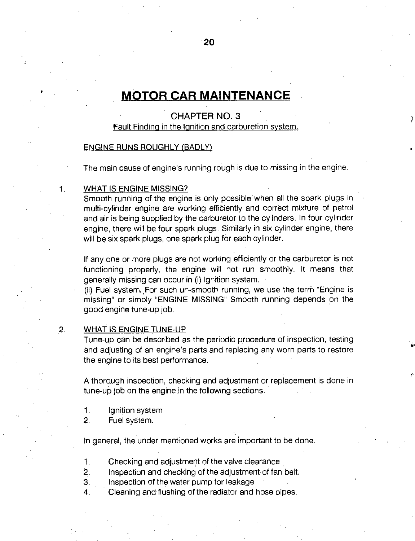# **MOTOR CAR MAINTENANCE**

# CHAPTER NO. 3

# fault Finding in the Ignition and carburetion system.

#### ENGINE RUNS ROUGHLY (BADLY)

The main cause of engine's running rough is due to missing in the engine.

#### 1. WHAT IS ENGINE MISSING?

Smooth running of the engine is only possible when all the spark plugs in multi-cylinder engine are working efficiently and correct mixture of petrol and air is being supplied by the carburetor to the cylinders. In four cylinder engine, there will be four spark plugs Similarly in six cylinder engine, there will be six spark plugs, one spark plug for each cylinder.

If any one or more plugs are not working efficiently or the carburetor is not functioning properly, the engine will not run smoothly. It means that generally missing can occur in (i) Ignition system.

(ii) Fuel system. For such un-smooth running, we use the term "Engine is missing" or simply "ENGINE MISSING" Smooth running depends on the good engine tune-up job.

#### 2. WHAT IS ENGINE TUNE-UP

Tune-up can be described as the periodic procedure of inspection, testing and adjusting of an engine's parts and replacing any worn parts to restore the engine to its best performance.

A thorough inspection, checking and adjustment or replacement is done in tune-up job on the engine in the following sections.

- 1. Ignition system
- 2. Fuel system.

In general, the under mentioned works are important to be done.

1. Checking and adjustment of the valve clearance •

2. Inspection and checking of the adjustment of fan belt.

- 3. Inspection of the water pump for leakage
- 4. Cleaning and flushing of the radiator and hose pipes.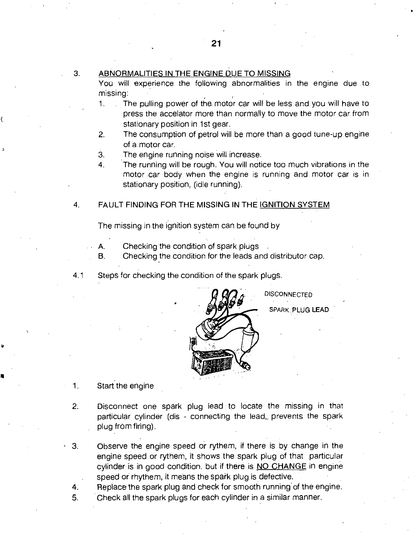# 3. ABNORMALITIES IN THE ENGINE DUE TO MISSING

You will experience the following abnormalities in the engine due .to missing:

- 1. The pulling power of the. motor car will be less and you will have to press the accelator more than normally to move the motor car from stationary position in 1st gear.
- 2. The consumption of petrol will be more than a good tune-up engine of amotor car.
- 3. The engine running noise will increase.
- 4. The running will be rough. You will notice too much vibrations in the motor car body when the engine is running and motor car is in stationary position, (idle running).

#### 4. FAULT FINDING FOR THE MISSING IN THE IGNITION SYSTEM

The missing in the ignition system can be found by

- A. Checking the condition of spark plugs
- B. Checking the condition for the leads and distributor cap.
- 4.1 Steps for checking the condition of the spark plugs.



**DISCONNECTED** SPARK PLUG LEAD

- 1. Start the engine
- 2. Disconnect one spark plug lead to locate the missing in that particular cylinder (dis - connecting the lead,, prevents the spark plug frOm firing).
- 3. Observe the engine speed or rythem, if there is by change in the engine speed or rythem, it shows the spark plug of that particular cylinder is in good condition. but if there is NO CHANGE in engine speed or rhythem, it means the spark plug is defective.
- 4. Replace the spark plug and check for smooth running' of the engine.
- 5. Check all the spark plugs for each cylinder in a similar manner.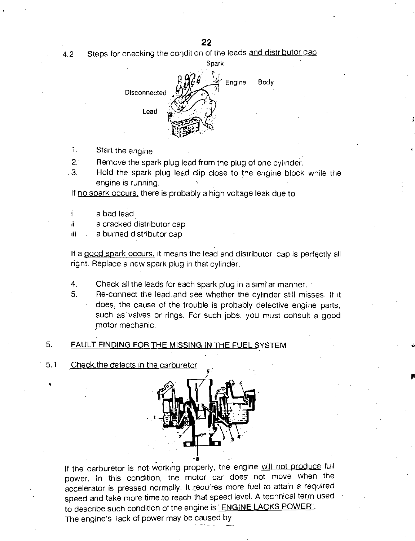**22** 

4.2 Steps for checking the condition of the leads and distributor cap



- 1. Start the engine
- 2. Remove the spark plug lead from the plug of one cylinder.
- 3. Hold the spark plug lead clip close to the engine block while the engine is running.
- If no spark occurs, there is probably a high voltage leak due to
- a bad lead
- ii a cracked distributor cap
- iii a burned distributor cap

If a good spark occurs, it means the lead and distributor cap is perfectly all right. Replace a new spark plug in that cylinder.

- 4. Check all the leads for each spark plug in a similar manner.
- 5. Re-connect the lead.and see whether the cylinder still misses. If it does, the cause of the trouble is probably defective engine parts, such as valves or rings. For such jobs, you must consult a good motor mechanic.

# 5. FAULT FINDING FOR THE MISSING IN THE FUEL SYSTEM

5.1 Check the defects in the carburetor



If the carburetor is not working properly, the engine will not produce full power. In this condition, the motor car does not move when the accelerator is pressed normally. It requires more fuel to attain a required speed and take more time to reach that speed level. A technical term used to describe such condition of the engine is "ENGINE LACKS POWER". The engine's lack of power may be caused by

•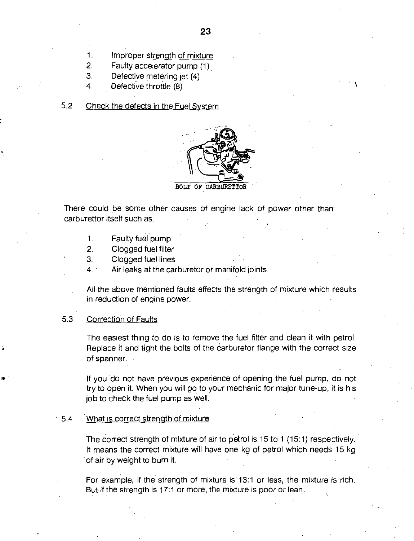- 2. Faulty accelerator pump (1).
- 3. Defective metering jet (4)
- 4. Defective throttle (8)

# 5.2 Check the defects in the Fuel System



BOLT OF CARBURET

There could be some other causes of engine lack of power other than carburettor itself such as.

- 1. Faulty fuel pump
- 2. Clogged fuel filter
- 3. Clogged fuel lines
- 4.. Air leaks at the carburetor or manifold joints.

All the above mentioned faults effects the strength of mixture which results in reduction of engine power.

# 5.3 Correction of Faults

The easiest thing to do is to remove the fuel filter and clean it with petrol. Replace it and tight the bolts of the carburetor flange with the correct size of spanner.

If you do not have previous experience of opening the fuel pump, do not try to open it. When you will go to your mechanic for major tune-up, it is his job to check the fuel pump as well.

#### 5.4 'What is correct strength of mixture

The correct strength of mixture of air to petrol is 15 to 1 (15:1) respectively. It means the correct mixture will have one kg of petrol which needs 15 kg of air by weight to burn it.

For example, if the strength of mixture is 13:1 or less, the mixture is rich. But if the strength is 17:1 or more, the mixture is poor or lean.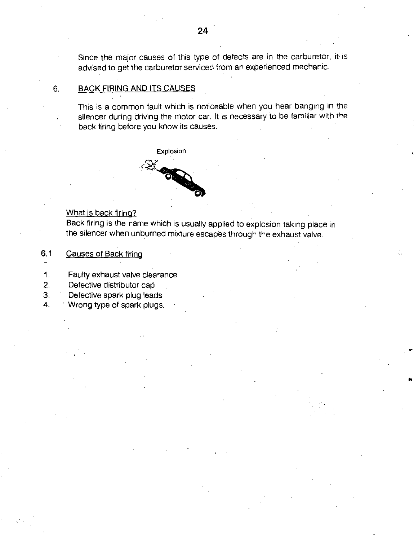Since the major causes of this type of defects are in the carburetor, it is advised to get the carburetor serviced from an experienced mechanic.

# 6. BACK FIRING AND ITS CAUSES

This is a common fault which is noticeable when you hear banging in the silencer during driving the motor car. It is necessary to be familiar with the back firing before you know its causes.



# What is back firing?

Back firing is the name which is usually applied to explosion taking place in the silencer when unburned mixture escapes through the exhaust valve.

**Ii** 

- 6.1 Causes of Back firing
- 1. Faulty exhaust valve clearance
- 2. Defective distributor cap
- 3. Defective spark plug leads
- 4. ' Wrong type of spark plugs.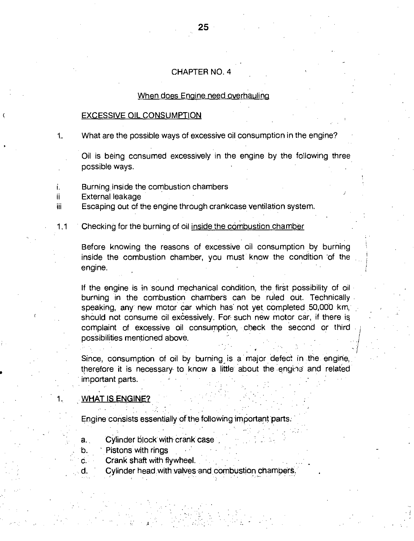#### CHAPTER NO. 4

#### When does Engine need overhauling

#### EXCESSIVE OIL CONSUMPTION

What are the possible ways of excessive oil consumption in the engine?  $1<sub>-</sub>$ 

Oil is being consumed excessively in the engine by the following three possible ways.

i. Burning inside the combustion chambers

ii External leakage

iii Escaping out of the engine through crankcase ventilation system.

# 1.1 Checking for the burning of oil inside the combustion chamber

Before knowing the reasons of excessive oil consumption by burning inside the combustion chamber, you must know the condition 'of the engine.

If the engine is in sound mechanical condition, the first possibility of oil burning in the combustion chambers can be ruled out. Technically speaking, any new motor car which has not yet completed 50,000 km, should not consume oil excessively. For such new motor car, if there is complaint of excessive oil consumption, check the second or third possibilities mentioned above.

Since, consumption of oil by burning is a major defect in the engine, therefore it is necessary to know a little about the engine and related important parts.

### **WHAT IS ENGINE?**

Engine consists essentially of the following important parts.

- a. Cylinder block with crank case
- b. Pistons with rings
- c. Crank shaft with flywheel.
- Cylinder head with valves and combustion chamoers. d.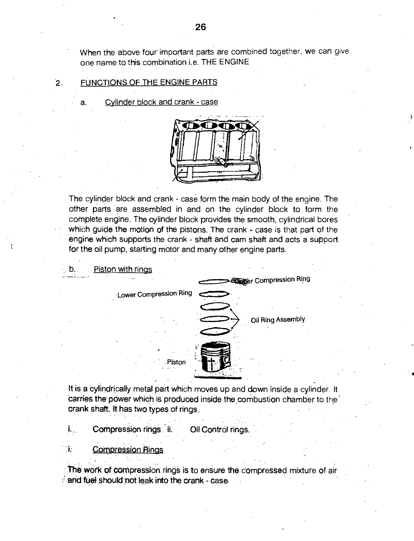When the above four important parts are combined together, we can give one name to this combination i.e. THE ENGINE

#### 2. FUNCTIONS OF THE ENGINE PARTS

a. Cylinder block and crank - case



The cylinder block and crank - case form the main body of the engine. The other parts are assembled in and on the cylinder block to form the complete engine. The cylinder block provides the smooth, cylindrical bores which guide the motion of the pistons. The crank - case is that part of the engine which supports the crank - shaft and cam shaft and acts a support for the oil pump, starting motor and many other engine parts.



It is a cylindrically metal part which moves up and down inside a cylinder. It carries the power which is produced inside the combustion chamber to the crank shaft. It has two types of rings,

• •

T. Compression rings ii. Oil Control rings.

一花 **Compression Rings** 

The work of compression rings is to ensure the compressed mixture of air and fuel should not leak into the crank - case-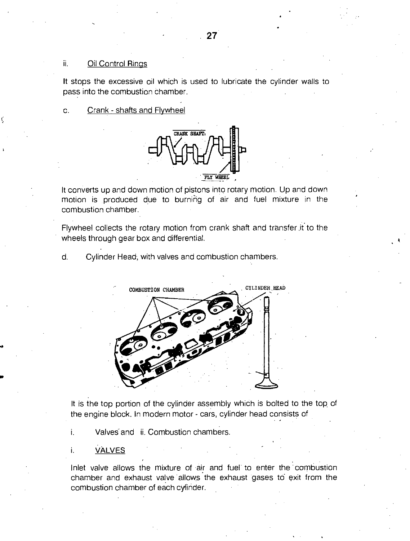# ii. Oil Control Rings

It stops the excessive oil which is used to lubricate the cylinder walls to pass into the combustion chamber.

c. Crank - shafts and Flywheel



It converts up and down motion of pistons into rotary motion. Up and down motion is produced due to burnihg of air and fuel mixture in the combustion chamber.

Flywheel collects the rotary motion from crank shaft and transfer .it to the wheels through gear box and differential.

d. Cylinder Head; with valves and combustion chambers.



It is the top portion of the cylinder assembly which is bolted to the top of the engine block. In modern motor - cars, cylinder head consists of

i. Valves and ii. Combustion chambers.

**VALVES** 

i.

Inlet valve allows the mixture of air and fuel to enter the combustion chamber and exhaust valve allows the exhaust gases to exit from the combustion chamber of each cylinder.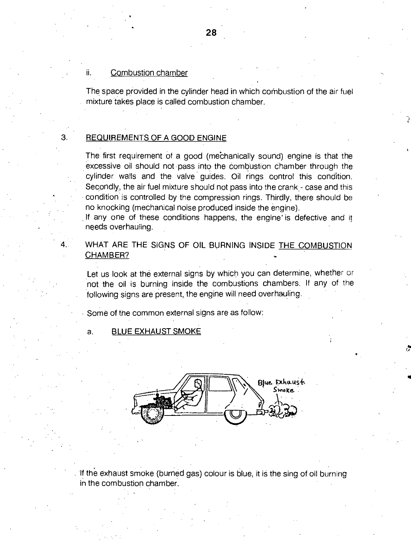#### Combustion chamber ii.

•

The space provided in the cylinder head in which combustion of the air fuel mixture takes place is called combustion chamber.

#### REQUIREMENTS OF A GOOD ENGINE

З.

The first requirement of a good (mechanically sound) engine is that the excessive oil should not pass into the combustion chamber through the cylinder walls and the valve guides. Oil rings control this condition. Secondly, the air fuel mixture should not pass into the crank - case and this condition is controlled by the compression rings. Thirdly, there should be no knocking (mechanical noise produced inside the engine).

If any one of these conditions happens, the engine is defective and it needs overhauling.

WHAT ARE THE SIGNS OF OIL BURNING INSIDE THE COMBUSTION CHAMBER?

Let us look at the external signs by which you can determine, whether or not the oil is burning inside the combustions chambers. If any of the following signs are present, the engine will need overhauling.

Some of the common external signs are as follow:

#### a. BLUE EXHAUST SMOKE



If the exhaust smoke (burned gas) colour is blue, it is the sing of oil burning in the combustion chamber.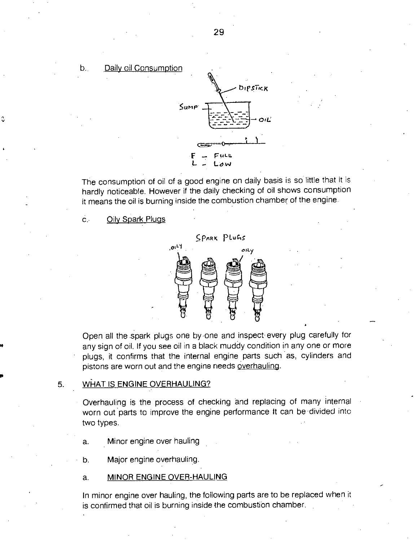Daily oil Consumption b.,



The consumption of oil of a good engine on daily basis is so little that it is hardly noticeable. However if the daily checking of oil shows consumption it means the oil is burning inside the combustion chamber of the engine

 $\mathbf{C}$ . Oily Spark Plugs



Open all the spark plugs one by-one and inspect every plug carefully for any sign of oil. If you see oil in a black muddy condition in any one or more • plugs, it confirms that the internal engine parts such as, cylinders and pistons are worn out and the engine needs overhauling.

#### 5. WHAT IS ENGINE OVERHAULING?

• Overhauling is the process of checking and replacing of many internal worn out parts to improve the engine performance It can be divided into two types.

a. Minor engine over hauling

b. Major engine overhauling.

# a. MINOR ENGINE OVER-HAULING

In minor engine over hauling, the following parts are to be replaced when it is confirmed that oil is burning inside the combustion chamber. .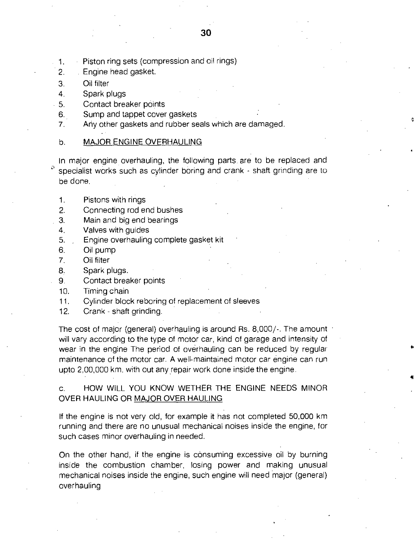- 1. Piston ring sets (compression and oil rings)
- 2. Engine head gasket.
- 3. Oil filter
- 4. Spark plugs
- 5. Contact breaker points
- 6. Sump and tappet cover gaskets
- 7. Any other gaskets and rubber seals which are damaged.
- b. MAJOR ENGINE OVERHAULING

In major engine overhauling, the following parts. are to be replaced and specialist works such as cylinder boring and crank - shaft grinding are to be done.

- 1. Pistons with rings
- 2. Connecting rod end bushes
- 3. Main and big end bearings
- 4. Valves with guides
- 5. Engine overhauling complete gasket kit
- 6. Oil pump
- 7. Oil filter
- 8. Spark plugs.
- 9. Contact breaker points
- 10. Timing chain
- 11. Cylinder block reboring of replacement of sleeves
- 12. Crank shaft grinding.

The cost of major (general) overhauling is around Rs. 8,000/-. The amount will vary according to the type of motor car, kind of garage and intensity of wear in the engine The period of overhauling can be reduced by regular maintenance of the motor car. A well-maintained motor car engine can run upto 2,00,000 km. with out any repair work done inside the engine.

c. HOW WILL YOU KNOW WETHER THE ENGINE NEEDS MINOR OVER HAULING OR MAJOR OVER HAULING

If the engine is not very old, for example it has not completed 50,000 km running and there are no unusual mechanical noises inside the engine, for such cases minor overhauling in needed.

On the other hand, if the engine is consuming excessive oil by burning inside the combustion chamber, losing power and making unusual mechanical noises inside the engine, such engine will need major (general) overhauling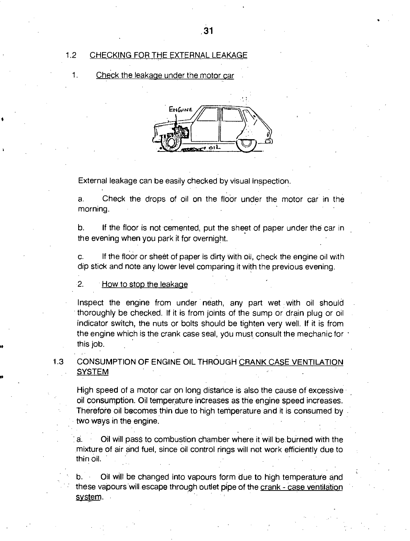# 1.2 CHECKING FOR THE EXTERNAL LEAKAGE

1. Check the leakage under the motor car



External leakage can be easily checked by visual inspection.

a. Check the drops of oil on the floor under the motor car in the morning.

b. If the floor is not cemented, put the sheet of paper under the car in the evening when you park it for overnight.

c. If the floor or sheet of paper is dirty With oil, check the engine oil with dip stick and note any lower level comparing it with the previous evening.

#### 2. How to stop the leakage

Inspect the engine from under neath, any part wet with oil should thoroughly be checked. If it is from joints of the sump or drain plug or oil indicator switch, the nuts or bolts should be tighten very well. If it is from the engine which is the crank case seal, you must consult the mechanic for the this job.

1.3 CONSUMPTION OF ENGINE OIL THROUGH CRANK CASE VENTILATION **SYSTEM** 

High speed of a motor car on long distance is also the cause of excessive oil consumption. Oil temperature increases as the engine speed increases. Therefore oil becomes thin due to high temperature and it is consumed by two ways in the engine.

. a. Oil will pass to combustion chamber where it will be burned with the mixture of air and fuel, since oil control rings will not work efficiently due to thin oil.

b. Oil will be changed into vapours form due to high temperature and these vapours will escape through outlet pipe of the crank - case ventilation system.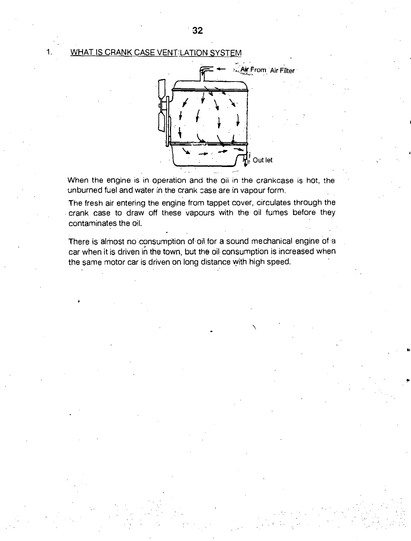# 1. WHAT IS CRANK CASE VENT:LATION SYSTEM



When the engine is in operation and the oil in the crankcase is hot, the unburned fuel and water in the crank case are in vapour form.

The fresh air entering the engine from tappet cover, circulates through the crank case to draw off these vapours with the oil fumes before they contaminates the oil.

There is almost no consumption of oil for a sound mechanical engine of a car when it is driven in the town, but the oil consumption is increased when the same motor car is driven on long distance with high speed.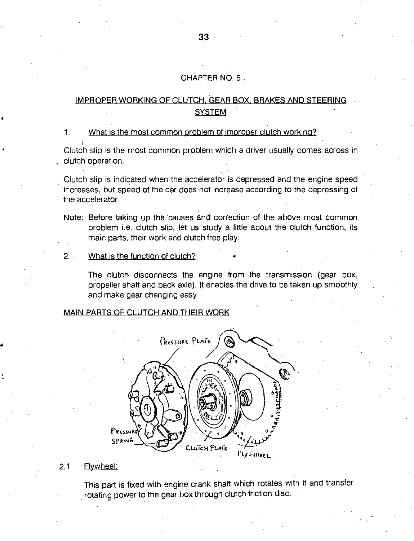# CHAPTER NO. 5

# IMPROPER WORKING OF CLUTCH, GEAR BOX, BRAKES AND STEERING **SYSTEM**

#### 1. What is the most common problem of improper clutch working?

Clutch slip is the most common problem which a driver usually comes across in clutch operation.

Clutch slip is indicated when the accelerator is depressed and the engine speed increases, but speed of the car does not increase according to the depressing of the accelerator.

Note: Before taking up the causes and correction of the above most common problem i.e. clutch slip, let us study a little about the clutch function, its main parts, their work and clutch free play.

#### 2. What is the function of clutch? •

The clutch disconnects the engine from the transmission (gear box, propeller shaft and back axle). It enables the drive to be taken up smoothly and make gear changing easy

# MAIN PARTS OF CLUTCH AND THEIR WORK



#### 2.1 Flywheel:

**I.** 

This part is fixed with engine crank shaft which rotates with it and transfer rotating power to the gear box through clutch friction disc.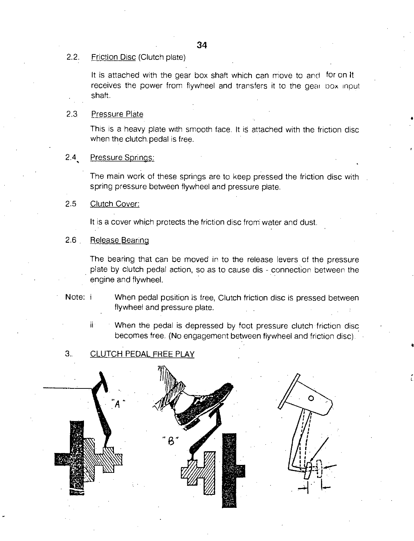# 34

# 2.2. Friction Disc (Clutch plate)

It is attached with the gear box shaft which can move to and for on It receives the power from flywheel and transfers it to the gear box input shaft.

#### 2.3 Pressure Plate

This is a heavy plate with smooth face. It is attached with the friction disc when the clutch, pedal is free.

# 2.4 Pressure Springs:

The main work of these springs are to keep pressed the friction disc with spring pressure between flywheel and pressure plate.

# 2.5 Clutch Cover:

It is a cover which protects the friction disc from water and dust.

#### 2.6 Release Bearing

The bearing that can be moved in to the release levers of the pressure plate by clutch pedal action, so as to cause dis - connection between the engine and flywheel.

Note: i When pedal position is free, Clutch friction disc is pressed between flywheel and pressure plate.

ii • • When the pedal is depressed by foot pressure clutch friction disc becomes free. (No engagement between flywheel and friction disc). •

#### $3<sub>1</sub>$ CLUTCH PEDAL FREE PLAY

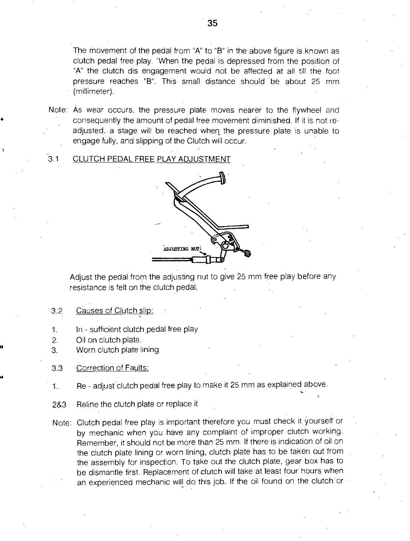The movement of the pedal from "A" to "B" in the above figure is.known as clutch pedal free play. 'When the pedal is depressed from the position of "A" the clutch dis engagement would not be affected at all till the foot pressure reaches "B". This small distance should be about 25 mm • (millimeter).

- Note: As wear occurs, the pressure plate moves nearer to the flywheel and consequently the amount of pedal free movement diminished. If it is not readjusted. a stage will be reached when the pressure plate is unable to engage fully, and slipping of the Clutch will occur.
- 3.1 CLUTCH PEDAL FREE PLAY ADJUSTMENT



Adjust the pedal from the adjusting nut to give 25 mm free play before any resistance is felt on the clutch pedal.

- 3.2 Causes of Clutch slip:
- 1. In sufficient clutch pedal free play
- 2. Oil on clutch plate.

**if** 

ia

- 3. Worn clutch plate lining
- 3.3 Correction of Faults:
- 1. Re adjust clutch pedal free play to make it 25 mm as explained above.
- 2&3 Reline the clutch plate or replace it
- Note: Clutch pedal free play is important therefore you must check it yourself or by mechanic when you have any complaint of improper clutch working. Remember, it should not be more than 25 mm. If there is indication of oil on the clutch plate lining or worn lining, clutch plate has to be taken out from the assembly for inspection. To take out the clutch plate, gear box has to be dismantle first. Replacement of clutch will take at least four hours when an experienced mechanic will do this job. If the oil found on the clutch or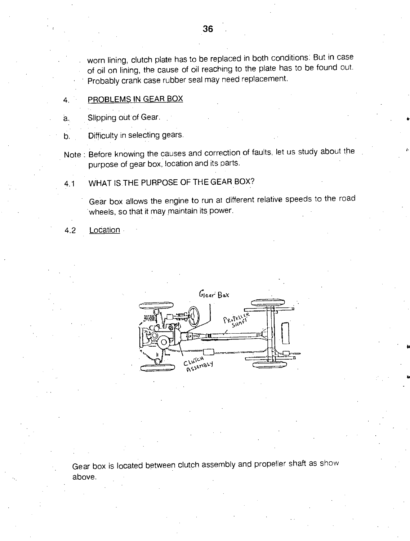• worn lining, clutch plate has to be replaced in both conditions. But in case of oil on lining, the cause of oil reaching to the plate has to be found out. Probably crank case rubber seal may need replacement.

#### 4. • PROBLEMS IN GEAR BOX

Slipping out of Gear. a.

Difficulty in selecting gears. b.

Note : Before knowing the causes and correction of faults, let us study about the purpose of gear box, location and its parts.

# 4.1 WHAT IS THE PURPOSE OF THE GEAR BOX?

Gear box allows the engine to run at different relative speeds to the road 'wheels, so that it may maintain its power.

4.2 Location



Gear box is located between clutch assembly and propeller shaft as show above.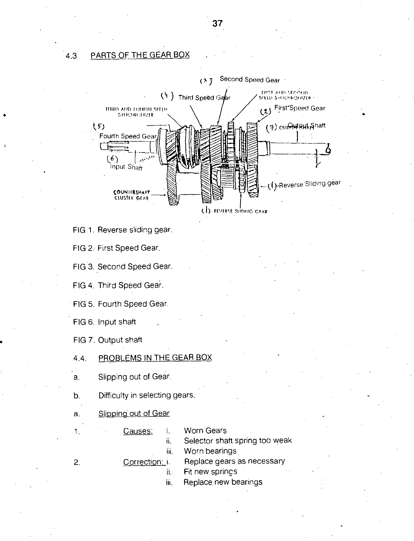# 4.3 PARTS OF THE GEAR BOX

•



- FIG 1. Reverse sliding gear.
- FIG 2: First Speed Gear.
- FIG 3. Second Speed Gear.
- FIG 4. Third Speed Gear.
- FIG 5. Fourth Speed Gear.
- FIG 6. Input shaft
- FIG 7. Output shaft
- 4.4. PROBLEMS IN THE GEAR BOX
- a. Slipping out of Gear.
- b. Difficulty in selecting gears.
- a. Slipping out of Gear
	-

1.

Causes: i. Worn Gears

ii. Selector shaft spring too weak

iii. Worn bearings

- $2.$
- Correction: i. Replace gears as necessary ii. Fit new springs
	- iii. Replace new bearings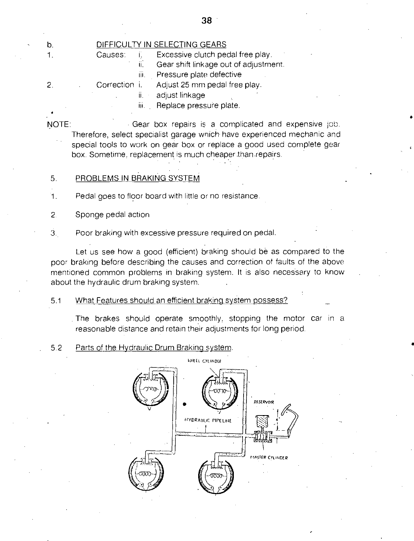$b.$ 

 $1.$ 

# DIFFICULTY IN SELECTING GEARS

Causes: i. Excessive clutch pedal free play.

ii. Gear shift linkage out of adjustment.

iii. Pressure plate defective

 $\overline{2}$ . Correction i. Adjust 25 mm pedal free play.

> adjust linkage  $\ddot{\mathbf{i}}$ .

iii. Replace pressure plate.

NOTE: Gear box repairs is a complicated and expensive job. Therefore, select specialist garage wnich have experienced mechanic and special tools to work on gear box or replace a good used complete gear box. Sometime, replacement is much cheaper than .repairs.

- 5. PROBLEMS IN BRAKING SYSTEM
- 1. Pedal goes to floor board with little or no resistance
- 2. Sponge pedal action
- 3. Poor braking with excessive pressure required on pedal.

Let us see how a good (efficient) braking should be as compared to the poor braking before describing the causes and correction of faults of the above mentioned common problems in braking system. It is also necessary to know about the hydraulic drum braking system.

5.1 What Features should an efficient braking system possess?

The brakes should operate smoothly, stopping the motor car in a reasonable distance and retain their adjustments for long period.

5.2 Parts of the Hydraulic Drum Braking system.

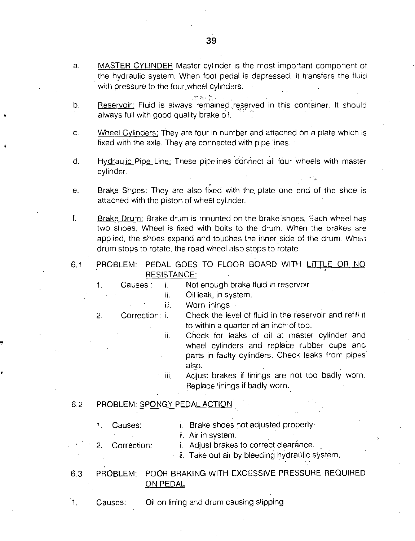a. MASTER CYLINDER Master cylinder is the most important component of the hydraulic system. When foot pedal is depressed. it transfers the fluid with pressure to the four wheel cylinders.

**Company's** 

- Reservoir: Fluid is always remained reserved in this container. It should  $b<sub>1</sub>$ always full with good quality brake oil. .
- c. Wheel Cylinders: They are four in number and attached on a plate which is fixed with the axle. They are connected with pipe lines.
- . . d. Hydraulic Pipe Line: These pipelines connect all four wheels with master cylinder.
- e. Brake Shoes: They are also fixed with the, plate one end of the shoe is attached with the piston of wheel cylinder.

f. Brake Drum: Brake drum is mounted on the brake shoes. Each wheel has two shoes, Wheel is fixed with bolts to the drum. When the brakes are applied, the shoes expand and touches the inner side of the drum. When drum stops to rotate, the road wheel also stops to rotate.

6.1 PROBLEM: PEDAL GOES TO FLOOR BOARD WITH LITTLE OR NO RESISTANCE:

1. Causes: i. Not enough brake fluid in reservoir

ii. Oil leak, in system.

iii. Worn linings.

2. Correction: i. Check the level of fluid in the reservoir and refill it to within a quarter of an inch of top.

> ii. Check for leaks of oil at master cylinder and wheel cylinders and replace rubber cups and parts in faulty cylinders. Check leaks from pipes. also.

> iii. Adjust brakes if linings are not too badly worn. Replace linings if badly worn..

# 6.2 PROBLEM: SPONGY PEDAL ACTION'

1. Causes: i. Brake shoes not adjusted properly ii. Air in system.

2. Correction: i. Adjust brakes to correct clearance.

ii. Take out air by bleeding hydraulic system.

# 6.3 PROBLEM: POOR BRAKING WITH EXCESSIVE PRESSURE REQUIRED ON PEDAL

 $1.$ Causes: Oil on lining and drum causing slipping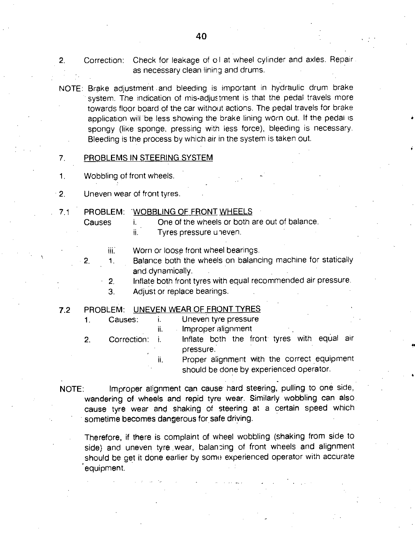- 2. Correction: Check for leakage of oll at wheel cylinder and axles. Repair as necessary clean lining and drums.
- NOTE: Brake adjustment and bleeding is important in hydraulic drum brake system. The indication of mis-adjustment is that the pedal travels more towards floor board of the car without actions. The pedal travels for brake application will be less showing the brake lining worn out. If the pedal is spongy (like sponge, pressing with less force), bleeding is necessary. Bleeding is the process by which air in the system is taken out.

#### 7. PROBLEMS IN STEERING SYSTEM

- 1. Wobbling of front wheels.
- 2. Uneven wear of front tyres.
	-

#### 7.1 PROBLEM: 'WOBBLING OF FRONT WHEELS

- Causes i. One of the wheels or both are out of balance. ii. Tyres pressure uneven.
	- iii.
- Worn or loose front wheel bearings.
- 2. 1. Balance both the wheels on balancing machine for statically and. dynamically.
	- 2. Inflate both front tyres with equal recommended air pressure.
	- 3. Adjust or replace bearings.

# 7.2 PROBLEM: UNEVEN WEAR OF FRONT TYRES

1. Causes: i. Uneven tyre pressure ii. Improper alignment 2. Correction: i. Inflate bcth the front tyres with equal air pressure.

> ii. Proper alignment with the correct equipment should be done by experienced operator.

NOTE: Improper alignment can cause hard steering, pulling to one side, wandering of wheels and repid tyre wear. Similarly wobbling can also. cause tyre wear and shaking of steering at a certain speed which sometime becomes dangerous for safe driving.

Therefore, if there is complaint of wheel wobbling (shaking from side to side) and uneven tyre ,wear, balancing of front wheels and alignment should be get it done earlier by some experienced operator with accurate equipment.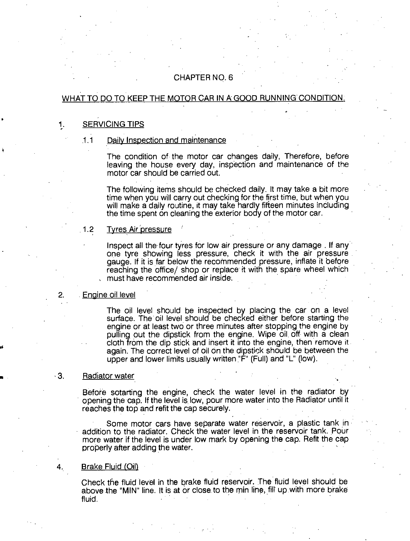# CHAPTER NO. 6

# WHAT TO DO TO KEEP THE MOTOR CAR IN A GOOD RUNNING CONDITION.

# 1. SERVICING TIPS

#### 1.1 Daily Inspection and maintenance

The condition of the motor car changes daily, Therefore, before leaving the house every day, inspection and maintenance of the motor car should be carried out.

The following items should be checked daily. It may take a bit more time when you will carry out checking for the first time, but when you will make a daily routine, it may take hardly fifteen minutes including the time spent on cleaning the exterior body of the motor car.

#### 1.2 Tyres Air pressure

,

Inspect all the four tyres for low air pressure or any damage . If any one tyre showing less pressure, check it with the air pressure gauge. If it is far below the recommended pressure, inflate it before reaching the office/ shop or replace it with the spare wheel which must have recommended air inside.

#### 2. Engine oil level

The oil level should be inspected by placing the car on a level surface. The oil level should be checked either before starting the engine or at least two or three minutes after stopping the engine by pulling out the dipstick from the engine. Wipe oil, off with a clean cloth from the dip stick and insert it into the engine, then remove it again. The correct level of oil on the dipstick should be between the upper and lower limits usually written "F" (Full) and "L" (low).

#### 3. Radiator water

Before sotarting the engine, check the water level in the radiator by opening the cap. If the level is low, pour more water into the Radiator until it reaches the top and refit the cap securely.

Some motor cars have separate water reservoir, a plastic tank in addition to the radiator. Check the water level in the reservoir tank. Pour more water if the level is under low mark by opening the cap. Refit the cap properly after adding the water.

•

#### Brake Fluid (Oil)

Check the fluid level in the brake fluid reservoir. The fluid level should be above the "MIN" line. It is at or close to the min line, fill up with more brake fluid.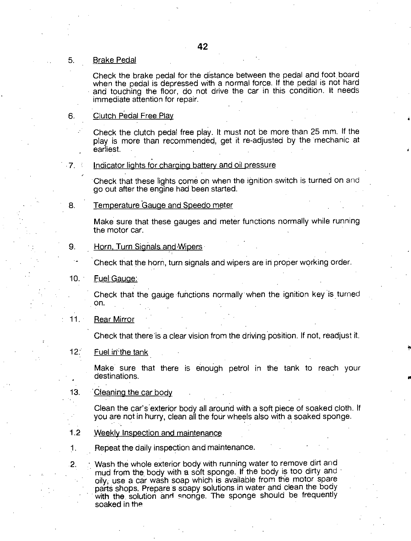#### 5. Brake Pedal

Check the brake pedal for the distance between the pedal and foot board when the pedal is depressed with a normal force. If the pedal is not hard and touching the floor, do not drive the car in this condition. It needs immediate attention for repair.

#### 6. Clutch Pedal Free Play

Check the clutch pedal free play. It must not be more than 25 mm. If the play is more than recommended, get it re-adjusted by the 'mechanic at earliest.

•

#### 7. Indicator lights for charging battery and oil pressure

Check that these lights come on when the ignition switch is turned on and go out after the engine had been started.

#### 8. Temperature Gauge and Speedo meter

Make sure that these gauges and meter functions normally while running the motor car.

#### 9. Horn, Turn Signals and Wipers

Check that the horn, turn signals and wipers are in proper working order.

#### 10. Fuel Gauge:

Check that the gauge functions normally when the ignition key is turned on.

#### 11. Rear Mirror

Check that there is a clear vision from the driving position. If not, readjust it.

#### 12. Fuel in the tank

Make sure that there is enough petrol in the tank to reach your destinations.

#### 13. Cleaning the car body

Clean the car's exterior body all around with a soft piece of soaked cloth. If you are not in hurry, clean all the four wheels also with a soaked sponge.

- 1.2 Weekly Inspection and maintenance
- Repeat the daily inspection and maintenance. 1.

Wash the whole exterior body with running water to remove dirt and 2. mud from the body with a soft sponge. If the body is too dirty and oily, use a car wash soap which is available from the motor spare parts shops. Prepare s soapy solutions in water and clean the body with the solution and sponge. The sponge should be frequently soaked in the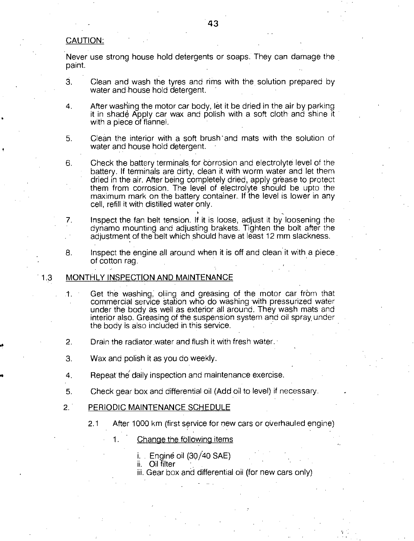#### CAUTION:

Never use strong house hold detergents or soaps. They can damage the paint.

- 3. Clean and wash the tyres and rims with the solution prepared by water and house hold detergent.
- 4. After washing the motor car body, let it be dried in the air by parking it in shade Apply car wax and polish with a soft cloth and shine it with a piece of flannel.
- 5. Clean the interior with a soft brush 'and mats with the solution of water and house hold detergent.
- 6. Check the battery terminals for Corrosion and electrolyte level of the • battery. If terminals are dirty, clean it with worm water and let them • dried in the air. After being completely dried, apply grease to protect them from corrosion. The level of electrolyte should be upto the maximum mark on the battery container. If the level is lower in any cell, refill it with distilled water only.
- 7. Inspect the fan belt tension. If it is loose, adjust it by loosening the • dynamo mounting and adjusting brakets. Tighten the bolt after the adjustment of the belt which should have at least 12 mm slackness.
- 8. Inspect the engine all around when it is off and clean it with a piece of cotton rag.

#### 1.3 MONTHLY INSPECTION AND MAINTENANCE

- 1. Get the washing; oliing and greasing of the motor car from that • commercial service Station who do washing with pressurized water under the body as well as exterior all around. They wash mats and interior also. Greasing of the suspension system and oil spray, under the body is also included in this service.
- 2. Drain the radiator water and flush it with fresh water.
- 3. Wax and polish it as you do weekly.
- 4. Repeat the' daily inspection and maintenance exercise.
- 5. Check gear box and differential oil (Add oil to level) if necessary.
- 2. PERIODIC MAINTENANCE SCHEDULE
	- 2.1 After 1000 km (first service for new cars or overhauled engine)
		- 1. Change the following items
			- i. Engine oil (30/40 SAE)
			- ii. Oil filter
			- iii. Gear box and differential oil (for new cars only)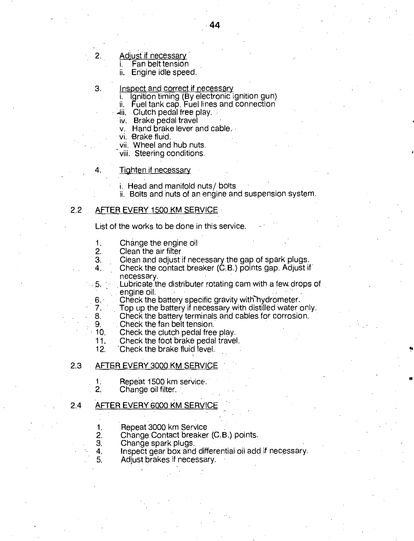# 2. Adjust if necessary

- i. Fan belt tension
- ii.. Engine idle speed.

#### 3. Inspect and correct if necessary

- i. Ignition timing (By electronic ignition gun)
- ii. Fuel tank cap. Fuel fines and connection
- 411. Clutch pedal free play.
- iv. Brake pedal travel
- v. Hand brake lever and cable.
- vi. Brake fluid.
- vii. Wheel and hub nuts.
- viii. Steering conditions.

#### Tighten if necessary

- 
- i. Head and manifold nuts/ bolts<br>ii. Bolts and nuts of an engine and suspension system.

# 2.2 AFTER EVERY 1500 KM SERVICE

List of the works to be done in this service.

- 1. Change the engine oil<br>2. Clean the air filter
- 2. Clean the air filter<br>3. Clean and adjust
- 3. Clean and adjust if necessary the gap of spark plugs.<br>4. Check the contact breaker (C.B.) points gap. Adjust if
	- 4. Check the contact breaker (C.B.) points gap. Adjust if necessary.
- Lubricate the distributer rotating cam with a few drops of  $.5.$   $\degree$ engine oil.
- 6. Check the battery specific gravity with hydrometer.<br>7. Top up the battery if necessary with distilled water
- 7. Top up the battery if necessary with distilled water only.<br>8. Check the battery terminals and cables for corrosion.

I.

- 8. Check the battery terminals and cables for corrosion.<br>9. Check the fan belt tension.
- 9. Check the fan belt tension.<br>10. Check the clutch pedal free
- 10. Check the clutch pedal free play.<br>11. Check the foot brake pedal travel
- 11. Check the foot brake pedal travel.<br>12. Check the brake fluid level.
	- Check the brake fluid level.

#### 2.3 AFTER EVERY 3000 KM SERVICE

- 1. Repeat 1500 km service.<br>2. Change oil filter
- 2. Change oil filter.

#### 2.4 AFTER EVERY 6000 KM SERVICE

- 1. Repeat 3000 km Service<br>2. Change Contact breaker
- 2. Change Contact breaker (C.B.) points.<br>3. Change spark plugs.
- 3. Change spark plugs.<br>4. Inspect gear box and
- 4. Inspect gear box and differential oil add if necessary.<br>5. Adiust brakes if necessary.
	- Adjust brakes if necessary.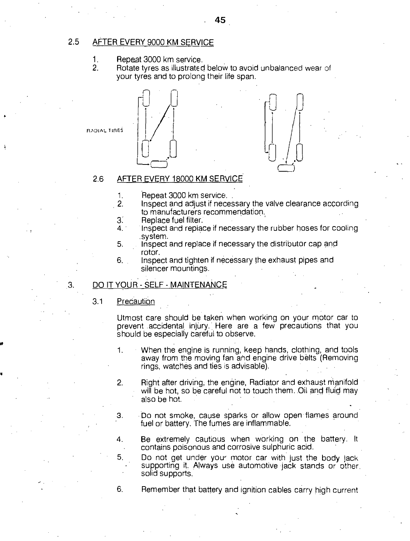# 2.5 AFTER EVERY 9000 KM SERVICE

- 1. Repeat 3000 km service.<br>2. Rotate tyres as illustrated
- Rotate tyres as illustrated below to avoid unbalanced wear of your tyres and to prolong their life span.



# 2.6 AFTER EVERY 18000 KM SERVICE

- 1. Repeat 3000 km service.<br>2. Inspect and adjust if nece
- Inspect and adjust if necessary the valve clearance according to manufacturers recommendation.
- 3. Replace fuel filter.<br>4. Inspect and replace
- Inspect and replace if necessary the rubber hoses for cooling .system.
- 5. Inspect and replace if necessary the distributor cap and rotor.
- 6. Inspect and tighten if necessary the exhaust pipes and silencer mountings.

# .3. DO IT YOUR - SELF - MAINTENANCE

# 3.1 Precaution

Utmost care should be taken when working on your motor car to • prevent accidental injury.. Here are a few precautions that you should be especially careful to observe.

1. When the engine is running, keep hands, clothing, and tools away from the moving fan and engine drive belts (Removing rings, watches and ties is advisable).

2. Right after driving, the engine, Radiator and exhaust manifold will be hot, so be careful not to touch them. Oil and fluid may also be hot.

3. Do not smoke, cause sparks or allow open flames around fuel or battery. The fumes are inflammable.

4. Be extremely cautious when working on the battery. It contains poisonous and corrosive sulphuric acid.

5. Do not get under your motor car with just the body jack supporting it. Always use automotive jack stands or other. solid supports.

6.

Remember that battery and ignition cables carry high current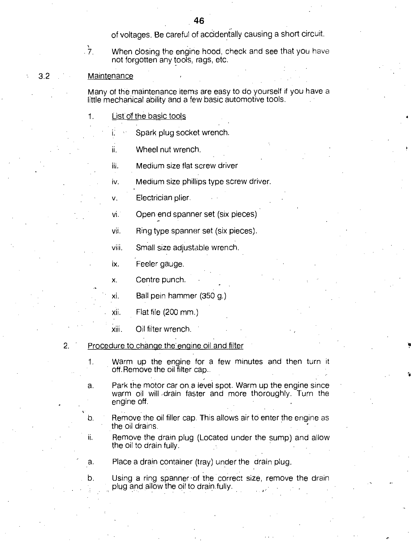of voltages. Be careful of accidentally causing a short circuit.

 $\frac{1}{2}$ 

When closing the engine hood, check and see that you have not forgotten any tools, rags, etc.

#### 3.2 Maintenance

• Many of the maintenance items are easy to do yourself if you have a little mechanical ability and a few basic automotive tools.

1. •List of the basic tools

Spark plug socket wrench.

Wheel nut wrench. ii.

Medium size flat screw driver iii.

iv. Medium size phillips type screw driver.

v. Electrician plier.

• vi. Open end spanner set (six pieces)

vii. Ring type spanner set (six pieces).

viii. Small size adjustable wrench.

ix. Feeler gauge.

x. Centre punch.

• xi. Ball pein hammer (350 g.)

xii. Flat file (200 mm.)

xiii. Oil filter wrench. •

- 2. Procedure to change the engine oil and filter
	- 1. Warm up the engine for a few minutes and then turn it off. Remove the oil filter cap..
	- a. Park the motor car on a level spot. Warm up the engine since warm oil will ,drain faster and more thoroughly. Turn the engine off.
	- $b.$ Remove the oil filler cap. This allows air to enter the engine as the oil drains.
	- ii. Remove the drain plug (Located under the sump) and allow the oil to drain fully.

a. Place a drain container (tray) under the drain plug.

b. Using a ring spanner of the correct size, remove the drain plug and allow the oil to drain.fully.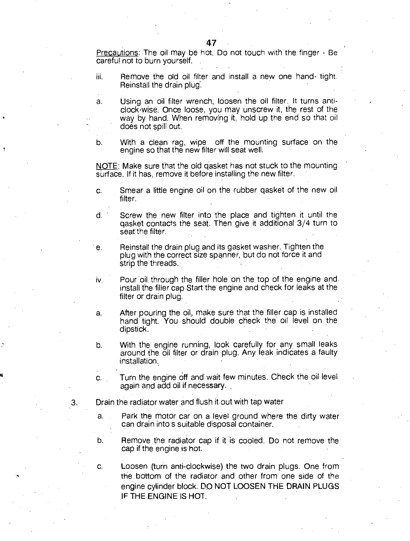Precautions: The oil may be hot. Do not touch with the finger - Be careful not to burn yourself. .

Remove the old oil filter and install a new one hand- tight. iii. Reinstall the drain plug.

a. Using an oil filter wrench, loosen the oil filter. It turns anticlock-wise. Once loose, you may unscrew it, the rest of the way by hand. When removing it, hold up the end so that oil does not spill out.

b. With a clean rag, wipe off the mounting surface on the engine so that the new filter will seat well.

NOTE: Make sure that the old gasket has not stuck to the mounting surface. If it has, remove it before installing the new filter.

- c. Smear a little engine oil on the rubber gasket of the new oil filter.
- d. Screw the new filter into the place and tighten it until the gasket contacts the seat. Then give it additional 3/4 turn to seat the filter.
- e. Reinstall the drain plug and its gasket washer. Tighten the plug with the correct size spanner, but do not force it and strip the threads.
- iv. Pour oil through the filler hole on the top of the engine and. install the filler cap Start the engine and check for leaks at the filter or drain plug.
- a. After pouring the oil, make sure that the filler cap is installed hand tight. You should double check the oil level on the dipstick.
- b. With the engine running, look carefully for any small leaks around the oil filter or drain plug. Any leak indicates a faulty installation.
- Turn the engine off and wait few minutes. Check the oil level C. again and add oil if necessary.
- Drain the radiator water and flush it.out with tap water 3.
	- a. Park the motor car on a level ground where the dirty water can drain into s suitable disposal container.
	- b. Remove the radiator cap if it is cooled. Do not remove the cap if the engine is hot.

c. Loosen (turn anti-clockwise) the two drain plugs. One from the bottom of the radiator and other from one side of the engine cylinder block. DO NOT LOOSEN THE DRAIN PLUGS IF THE ENGINE IS HOT.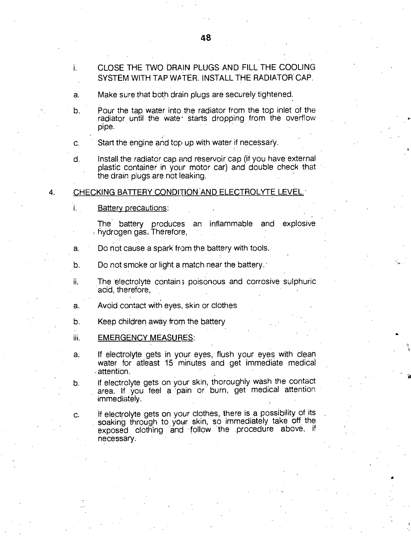- a. Make sure that both drain plugs are securely tightened.
- b. Pour the tap water into the radiator from the top inlet of the radiator until the water starts dropping from the overflow pipe.
- c. Start the engine and top up with water if necessary.
- d. Install the radiator cap and reservoir cap (if you have external plastic container in your motor car) and double check that the drain plugs are not leaking.

#### 4. CHECKING BATTERY CONDITION AND ELECTROLYTE LEVEL.

i. Battery precautions:

ii.

The battery produces an inflammable and explosive • hydrogen gas: Therefore,

- a. Do not cause a spark from the battery with tools.
- b. Do not smoke or light a match near the battery.
	- The electrolyte contains poisonous and corrosive sulphuric acid, therefore,

0.

•

- a. Avoid contact with eyes, skin or clothes
- b. Keep children away from the battery
- iii. EMERGENCY MEASURES:
- a. If electrolyte gets in your eyes, flush your eyes with clean water for atleast 15 minutes and get immediate medical • attention.
- b. If electrolyte gets on your skin, thoroughly wash the contact area. If you feel a pain or burn, get medical attention immediately.

c. If electrolyte gets on your clothes, there is a possibility of its soaking through to your skin, so immediately take off the exposed clothing and follow the procedure above, if necessary. •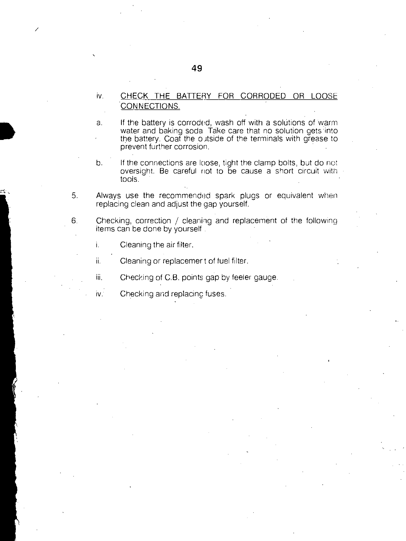# iv. CHECK THE BATTERY FOR CORRODED OR LOOSE CONNECTIONS.

a. If the battery is corroded, wash off with a solutions of warm water and baking soda Take care that no solution gets into the battery. Coat the outside of the terminals with grease to prevent further corrosion.

- b. If the connections are loose, tight the clamp bolts, but do not oversight. Be careful not to be cause a short circuit with tools.
- 5. Always use the recommended spark plugs or equivalent when replacing clean and adjust the gap yourself.
- 6. Checking, correction / cleaning and replacement of the following items can be done by yourself .
	- i. Cleaning the air filter.
	- ii. Cleaning or replacemer t of fuel filter.
	- iii. Checking of C.B. points gap by feeler gauge.
	- iv. Checking and replacing fuses